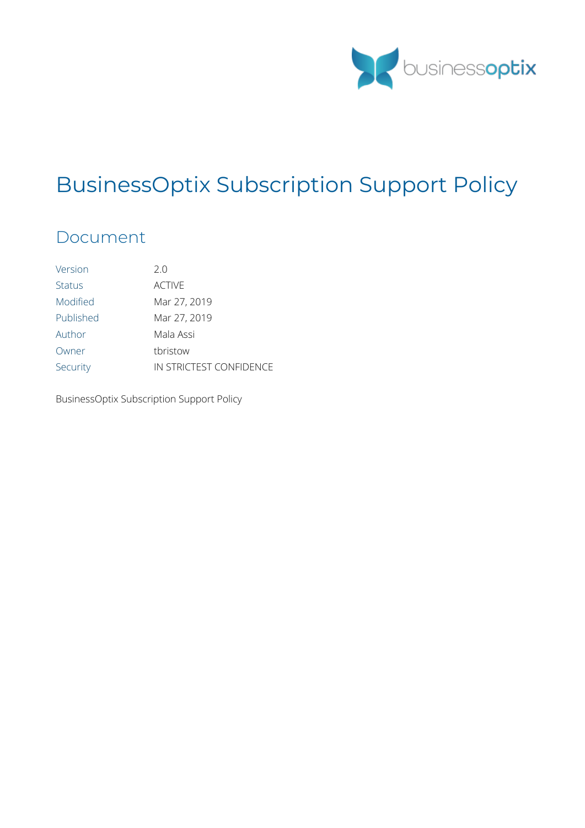

# BusinessOptix Subscription Support Policy

## Document

| Version       | 20                      |
|---------------|-------------------------|
| <b>Status</b> | <b>ACTIVE</b>           |
| Modified      | Mar 27, 2019            |
| Published     | Mar 27, 2019            |
| Author        | Mala Assi               |
| Owner         | thristow                |
| Security      | IN STRICTEST CONFIDENCE |

BusinessOptix Subscription Support Policy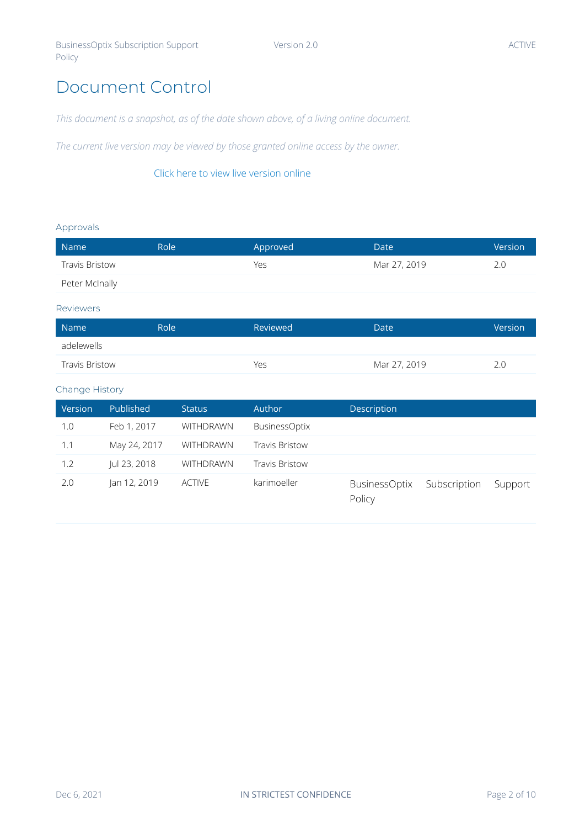## <span id="page-1-0"></span>Document Control

*This document is a snapshot, as of the date shown above, of a living online document.*

*The current live version may be viewed by those granted online access by the owner.*

#### [Click here to view live version online](https://uk.businessoptix.com/Documents/Library/Models/421906e8-fdd8-4eed-ba16-278dddb796de.html)

#### Approvals

| Role<br>Name          |  | Approved | Date         | Version |
|-----------------------|--|----------|--------------|---------|
| <b>Travis Bristow</b> |  | Yes      | Mar 27, 2019 | 2.0     |
| Peter McInally        |  |          |              |         |
|                       |  |          |              |         |

#### Reviewers

| Role'<br>Name         |  | Reviewed | Date         | Version |
|-----------------------|--|----------|--------------|---------|
| adelewells            |  |          |              |         |
| <b>Travis Bristow</b> |  | Yes      | Mar 27, 2019 |         |

#### Change History

| Version | <b>Published</b> | <b>Status</b>    | <b>Author</b>         | Description                    |              |         |
|---------|------------------|------------------|-----------------------|--------------------------------|--------------|---------|
| 1.0     | Feb 1, 2017      | WITHDRAWN        | <b>BusinessOptix</b>  |                                |              |         |
| 1.1     | May 24, 2017     | <b>WITHDRAWN</b> | <b>Travis Bristow</b> |                                |              |         |
| 1.2     | Jul 23, 2018     | <b>WITHDRAWN</b> | <b>Travis Bristow</b> |                                |              |         |
| 2.0     | Jan 12, 2019     | <b>ACTIVE</b>    | karimoeller           | <b>BusinessOptix</b><br>Policy | Subscription | Support |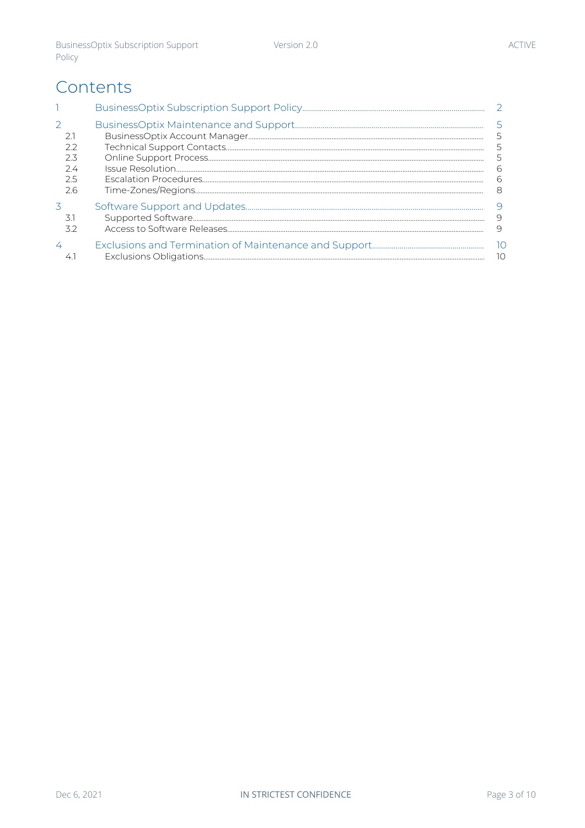## Contents

|     | 6    |
|-----|------|
|     | 6    |
| 2.6 | 8    |
|     |      |
|     | 9    |
|     | 9    |
|     | - 10 |
|     | 10   |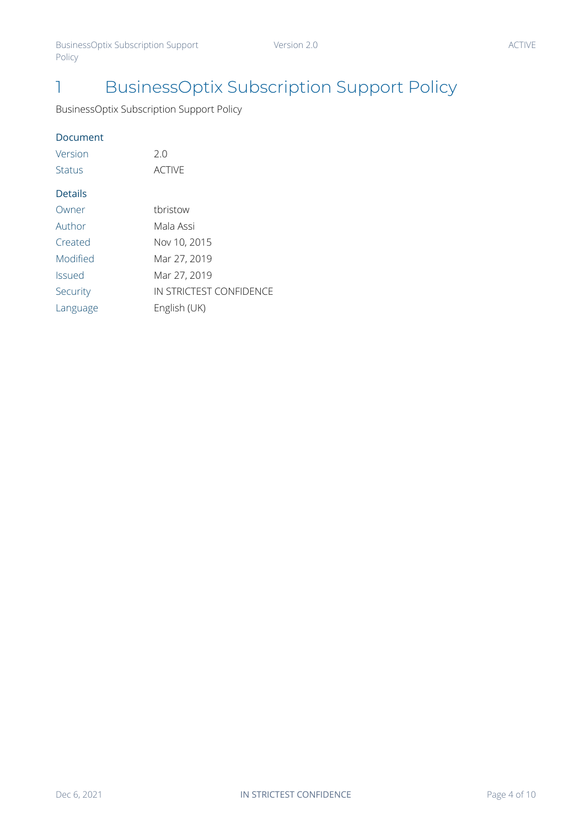BusinessOptix Subscription Support Policy

#### Document

| Version        | 2.0                     |
|----------------|-------------------------|
| Status         | <b>ACTIVE</b>           |
| <b>Details</b> |                         |
| Owner          | tbristow                |
| Author         | Mala Assi               |
| Created        | Nov 10, 2015            |
| Modified       | Mar 27, 2019            |
| <b>Issued</b>  | Mar 27, 2019            |
| Security       | IN STRICTEST CONFIDENCE |
| Language       | English (UK)            |
|                |                         |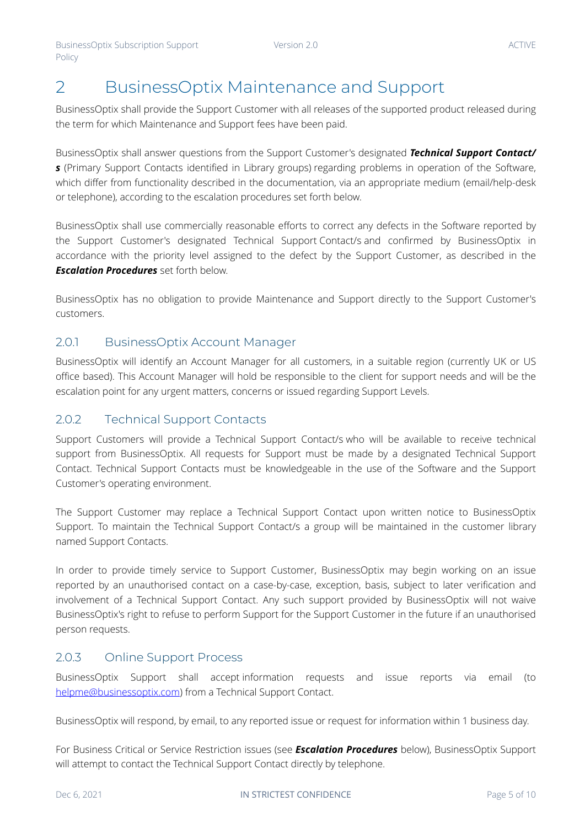## <span id="page-4-0"></span>2 BusinessOptix Maintenance and Support

BusinessOptix shall provide the Support Customer with all releases of the supported product released during the term for which Maintenance and Support fees have been paid.

BusinessOptix shall answer questions from the Support Customer's designated *Technical Support Contact/ s* (Primary Support Contacts identified in Library groups) regarding problems in operation of the Software, which differ from functionality described in the documentation, via an appropriate medium (email/help-desk or telephone), according to the escalation procedures set forth below.

BusinessOptix shall use commercially reasonable efforts to correct any defects in the Software reported by the Support Customer's designated Technical Support Contact/s and confirmed by BusinessOptix in accordance with the priority level assigned to the defect by the Support Customer, as described in the *Escalation Procedures* set forth below.

BusinessOptix has no obligation to provide Maintenance and Support directly to the Support Customer's customers.

#### 2.0.1 BusinessOptix Account Manager

BusinessOptix will identify an Account Manager for all customers, in a suitable region (currently UK or US office based). This Account Manager will hold be responsible to the client for support needs and will be the escalation point for any urgent matters, concerns or issued regarding Support Levels.

#### 2.0.2 Technical Support Contacts

Support Customers will provide a Technical Support Contact/s who will be available to receive technical support from BusinessOptix. All requests for Support must be made by a designated Technical Support Contact. Technical Support Contacts must be knowledgeable in the use of the Software and the Support Customer's operating environment.

The Support Customer may replace a Technical Support Contact upon written notice to BusinessOptix Support. To maintain the Technical Support Contact/s a group will be maintained in the customer library named Support Contacts.

In order to provide timely service to Support Customer, BusinessOptix may begin working on an issue reported by an unauthorised contact on a case-by-case, exception, basis, subject to later verification and involvement of a Technical Support Contact. Any such support provided by BusinessOptix will not waive BusinessOptix's right to refuse to perform Support for the Support Customer in the future if an unauthorised person requests.

#### 2.0.3 Online Support Process

BusinessOptix Support shall accept information requests and issue reports via email (to [helpme@businessoptix.com](mailto:helpme@businessoptix.com)) from a Technical Support Contact.

BusinessOptix will respond, by email, to any reported issue or request for information within 1 business day.

For Business Critical or Service Restriction issues (see *Escalation Procedures* below), BusinessOptix Support will attempt to contact the Technical Support Contact directly by telephone.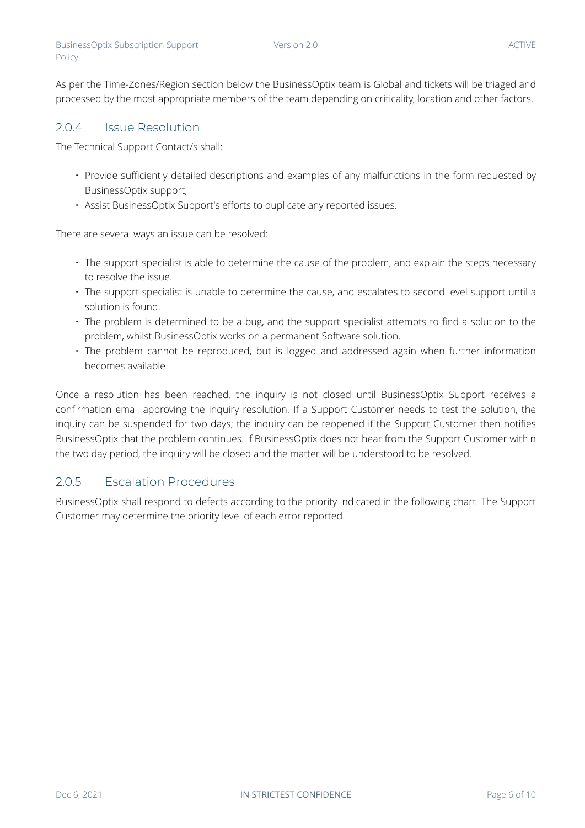As per the Time-Zones/Region section below the BusinessOptix team is Global and tickets will be triaged and processed by the most appropriate members of the team depending on criticality, location and other factors.

#### 2.0.4 Issue Resolution

<span id="page-5-0"></span>Policy

The Technical Support Contact/s shall:

- Provide sufficiently detailed descriptions and examples of any malfunctions in the form requested by BusinessOptix support,
- Assist BusinessOptix Support's efforts to duplicate any reported issues.

There are several ways an issue can be resolved:

- The support specialist is able to determine the cause of the problem, and explain the steps necessary to resolve the issue.
- The support specialist is unable to determine the cause, and escalates to second level support until a solution is found.
- The problem is determined to be a bug, and the support specialist attempts to find a solution to the problem, whilst BusinessOptix works on a permanent Software solution.
- The problem cannot be reproduced, but is logged and addressed again when further information becomes available.

Once a resolution has been reached, the inquiry is not closed until BusinessOptix Support receives a confirmation email approving the inquiry resolution. If a Support Customer needs to test the solution, the inquiry can be suspended for two days; the inquiry can be reopened if the Support Customer then notifies BusinessOptix that the problem continues. If BusinessOptix does not hear from the Support Customer within the two day period, the inquiry will be closed and the matter will be understood to be resolved.

#### 2.0.5 Escalation Procedures

BusinessOptix shall respond to defects according to the priority indicated in the following chart. The Support Customer may determine the priority level of each error reported.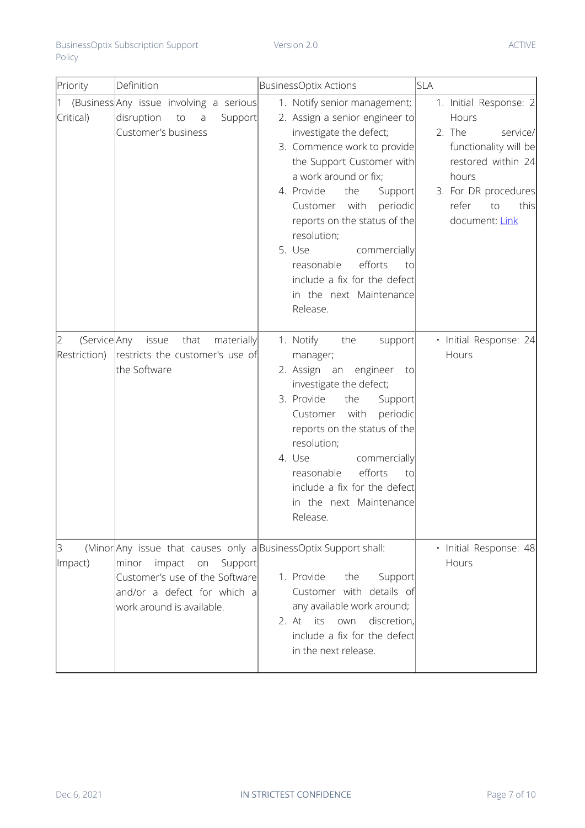| Priority  | Definition                               |                |         | BusinessOptix Actions |                                |      | <b>SLA</b>   |  |                        |    |          |
|-----------|------------------------------------------|----------------|---------|-----------------------|--------------------------------|------|--------------|--|------------------------|----|----------|
|           | (Business Any issue involving a serious) |                |         |                       | 1. Notify senior management;   |      |              |  | 1. Initial Response: 2 |    |          |
| Critical) | disruption to                            | $\overline{a}$ | Support |                       | 2. Assign a senior engineer to |      |              |  | Hours                  |    |          |
|           | Customer's business                      |                |         |                       | investigate the defect;        |      |              |  | 2. The                 |    | service/ |
|           |                                          |                |         |                       | 3. Commence work to provide    |      |              |  | functionality will be  |    |          |
|           |                                          |                |         |                       | the Support Customer with      |      |              |  | restored within 24     |    |          |
|           |                                          |                |         |                       | a work around or fix;          |      |              |  | hours                  |    |          |
|           |                                          |                |         |                       | 4. Provide                     | the  | Support      |  | 3. For DR procedures   |    |          |
|           |                                          |                |         |                       | Customer                       | with | periodic     |  | refer                  | to | this     |
|           |                                          |                |         |                       | reports on the status of the   |      |              |  | document: Link         |    |          |
|           |                                          |                |         |                       | resolution;                    |      |              |  |                        |    |          |
|           |                                          |                |         |                       | 5. Use                         |      | commercially |  |                        |    |          |

|                                   |                                                                                                                                                                                               | 5. Use<br>commercially<br>efforts<br>reasonable<br>to<br>include a fix for the defect<br>in the next Maintenance<br>Release.                                                                                                                                                                                                               |                                 |
|-----------------------------------|-----------------------------------------------------------------------------------------------------------------------------------------------------------------------------------------------|--------------------------------------------------------------------------------------------------------------------------------------------------------------------------------------------------------------------------------------------------------------------------------------------------------------------------------------------|---------------------------------|
| (Service Any<br>2<br>Restriction) | issue<br>that<br>materially<br>restricts the customer's use of<br>the Software                                                                                                                | 1. Notify<br>the<br>support<br>manager;<br>2. Assign an engineer to<br>investigate the defect;<br>3. Provide<br>the<br>Support<br>Customer with<br>periodic<br>reports on the status of the<br>resolution;<br>4. Use<br>commercially<br>efforts<br>reasonable<br>to<br>include a fix for the defect<br>in the next Maintenance<br>Release. | · Initial Response: 24<br>Hours |
| 3<br>Impact)                      | (Minor Any issue that causes only a Business Optix Support shall:<br>minor impact on<br>Support<br>Customer's use of the Software<br>and/or a defect for which a<br>work around is available. | 1. Provide<br>the<br>Support<br>Customer with details of<br>any available work around;<br>2. At its<br>discretion,<br>own<br>include a fix for the defect<br>in the next release.                                                                                                                                                          | · Initial Response: 48<br>Hours |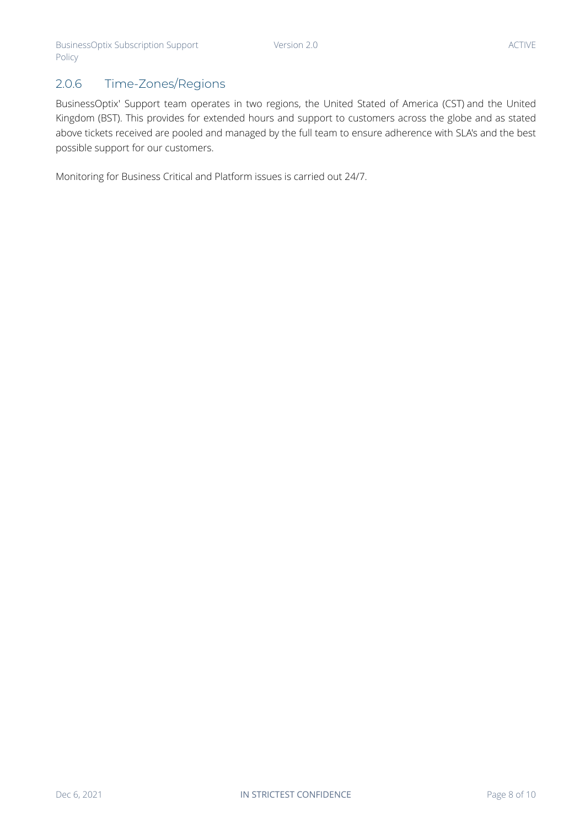### 2.0.6 Time-Zones/Regions

BusinessOptix' Support team operates in two regions, the United Stated of America (CST) and the United Kingdom (BST). This provides for extended hours and support to customers across the globe and as stated above tickets received are pooled and managed by the full team to ensure adherence with SLA's and the best possible support for our customers.

Monitoring for Business Critical and Platform issues is carried out 24/7.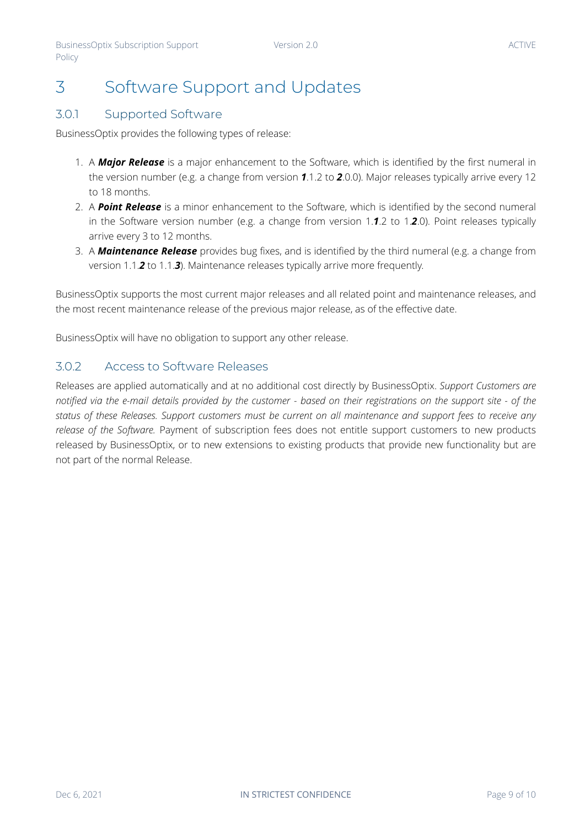#### Version 2.0 ACTIVE

## 3 Software Support and Updates

#### 3.0.1 Supported Software

BusinessOptix provides the following types of release:

- 1. A *Major Release* is a major enhancement to the Software, which is identified by the first numeral in the version number (e.g. a change from version *1*.1.2 to *2*.0.0). Major releases typically arrive every 12 to 18 months.
- 2. A *Point Release* is a minor enhancement to the Software, which is identified by the second numeral in the Software version number (e.g. a change from version 1.*1*.2 to 1.*2*.0). Point releases typically arrive every 3 to 12 months.
- 3. A *Maintenance Release* provides bug fixes, and is identified by the third numeral (e.g. a change from version 1.1.*2* to 1.1.*3*). Maintenance releases typically arrive more frequently.

BusinessOptix supports the most current major releases and all related point and maintenance releases, and the most recent maintenance release of the previous major release, as of the effective date.

BusinessOptix will have no obligation to support any other release.

#### 3.0.2 Access to Software Releases

Releases are applied automatically and at no additional cost directly by BusinessOptix. *Support Customers are notified via the e-mail details provided by the customer - based on their registrations on the support site - of the status of these Releases. Support customers must be current on all maintenance and support fees to receive any release of the Software.* Payment of subscription fees does not entitle support customers to new products released by BusinessOptix, or to new extensions to existing products that provide new functionality but are not part of the normal Release.